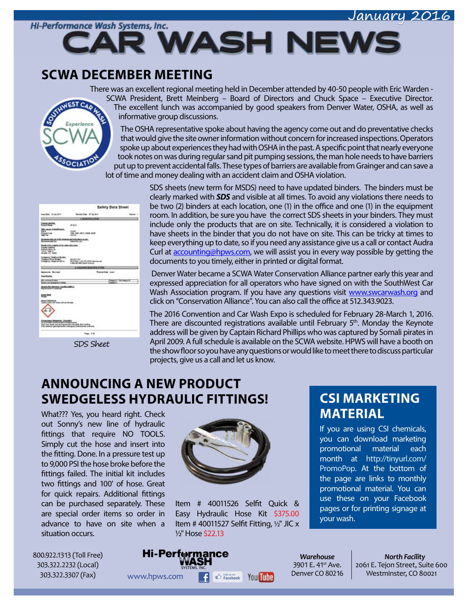#### January 2016



**R WASH NEWS** 

#### **SCWA DECEMBER MEETING**

There was an excellent regional meeting held in December attended by 40-50 people with Eric Warden - SCWA President, Brett Meinberg – Board of Directors and Chuck Space – Executive Director.



The excellent lunch was accompanied by good speakers from Denver Water, OSHA, as well as informative group discussions.

The OSHA representative spoke about having the agency come out and do preventative checks that would give the site owner information without concern for increased inspections. Operators spoke up about experiences they had with OSHA in the past. A specific point that nearly everyone took notes on was during regular sand pit pumping sessions, the man hole needs to have barriers put up to prevent accidental falls. These types of barriers are available from Grainger and can save a lot of time and money dealing with an accident claim and OSHA violation.

|                                                                                                                                                                          | Safety Data Sheet                                                                                                                     |                                             |
|--------------------------------------------------------------------------------------------------------------------------------------------------------------------------|---------------------------------------------------------------------------------------------------------------------------------------|---------------------------------------------|
| boardise, 34-Apr-374                                                                                                                                                     | <b>Rentalizat States: 107 Han 2014</b>                                                                                                |                                             |
|                                                                                                                                                                          | <b>SAGNEERS ATKIN</b>                                                                                                                 |                                             |
| <b>PERSONAL</b>                                                                                                                                                          | 49.564                                                                                                                                |                                             |
| <b>Recommend of ShortFrederick</b><br>--<br><b>Postage Code</b><br><b>ALL ALL</b>                                                                                        | 34.40<br>EMIL SAME AMPIL SAVING SHIPS<br><b>UNITED</b>                                                                                |                                             |
| 000106.06.03% (PA)<br>anno del los                                                                                                                                       | A MOS DO GEORGIA AL ARA-<br><b>Lakester cars</b>                                                                                      |                                             |
| brada at the seasons of the widely state shoul.<br><b><i><u><u>buster</u></u></i></b> Address<br><b>Durant West In</b><br><b>DALL DEN-D</b><br><b>Musella Lit: estat</b> |                                                                                                                                       |                                             |
| <b>Entreprints Telephone Runder</b><br><b>Integeria Picca Scotter</b><br><b>Everyonia Telephone (All not</b>                                                             | <b>ASS AND FRIT</b><br>APOSAC 1-30-324-938 Attendance<br>1-800-505-5850 Paints Arranted                                               |                                             |
|                                                                                                                                                                          | <b>LINGTONIN KNIVER CATER</b>                                                                                                         |                                             |
| <b>National Buildes</b>                                                                                                                                                  | <b>Plasted Bake Lines</b>                                                                                                             |                                             |
| <b>Goodhaller</b>                                                                                                                                                        |                                                                                                                                       |                                             |
| <b>SCHOOL COM</b><br><b>NAME AND RESIDENCE</b>                                                                                                                           |                                                                                                                                       | <b>Pages 1. Edinburghs</b><br><b>Langer</b> |
| <b>DES DE MUSEU (MINERAL)</b><br>La base de la component                                                                                                                 |                                                                                                                                       |                                             |
| <b>Long Print</b>                                                                                                                                                        |                                                                                                                                       |                                             |
| and grant all burs artists times                                                                                                                                         |                                                                                                                                       |                                             |
|                                                                                                                                                                          |                                                                                                                                       |                                             |
| Charles Month, Double                                                                                                                                                    | that fire, hand, and any exposed skin harosality shart undire.<br>from plantinum glaucogenerikan kollektrigingen profitsion ander som |                                             |
|                                                                                                                                                                          |                                                                                                                                       |                                             |

SDS Sheet

SDS sheets (new term for MSDS) need to have updated binders. The binders must be clearly marked with *SDS* and visible at all times. To avoid any violations there needs to be two (2) binders at each location, one (1) in the office and one (1) in the equipment room. In addition, be sure you have the correct SDS sheets in your binders. They must include only the products that are on site. Technically, it is considered a violation to have sheets in the binder that you do not have on site. This can be tricky at times to keep everything up to date, so if you need any assistance give us a call or contact Audra Curl at [accounting@hpws.com](mailto:accounting%40hpws.com?subject=), we will assist you in every way possible by getting the documents to you timely, either in printed or digital format.

Denver Water became a SCWA Water Conservation Alliance partner early this year and expressed appreciation for all operators who have signed on with the SouthWest Car Wash Association program. If you have any questions visit [www.swcarwash.org](http://www.swcarwash.org) and click on "Conservation Alliance". You can also call the office at 512.343.9023.

The 2016 Convention and Car Wash Expo is scheduled for February 28-March 1, 2016. There are discounted registrations available until February  $5<sup>th</sup>$ . Monday the Keynote address will be given by Captain Richard Phillips who was captured by Somali pirates in April 2009. A full schedule is available on the SCWA website. HPWS will have a booth on the show floor so you have any questions or would like to meet there to discuss particular projects, give us a call and let us know.

# **ANNOUNCING A NEW PRODUCT SWEDGELESS HYDRAULIC FITTINGS!**

What??? Yes, you heard right. Check out Sonny's new line of hydraulic fittings that require NO TOOLS. Simply cut the hose and insert into the fitting. Done. In a pressure test up to 9,000 PSI the hose broke before the fittings failed. The initial kit includes two fittings and 100' of hose. Great for quick repairs. Additional fittings can be purchased separately. These are special order items so order in advance to have on site when a situation occurs.



Item # 40011526 Selfit Quick & Easy Hydraulic Hose Kit \$375.00 Item # 40011527 Selfit Fitting, ½" JIC x ½" Hose \$22.13

## **CSI MARKETING MATERIAL**

If you are using CSI chemicals, you can download marketing promotional material each month at [http://tinyurl.com/](http://tinyurl.com/PromoPop) [PromoPop.](http://tinyurl.com/PromoPop) At the bottom of the page are links to monthly promotional material. You can use these on your Facebook pages or for printing signage at your wash.

800.922.1313 (Toll Free) 303.322.2232 (Local) 303.322.3307 (Fax)

# **Hi-Performance** WWW.hpws.com **F**  $\bigoplus_{\text{Facebook}}$  You **The** Denver CO 80216 Westminster, CO 80021

*Warehouse* 3901 E. 41<sup>st</sup> Ave. Denver CO 80216

*North Facility* 2061 E. Tejon Street, Suite 600